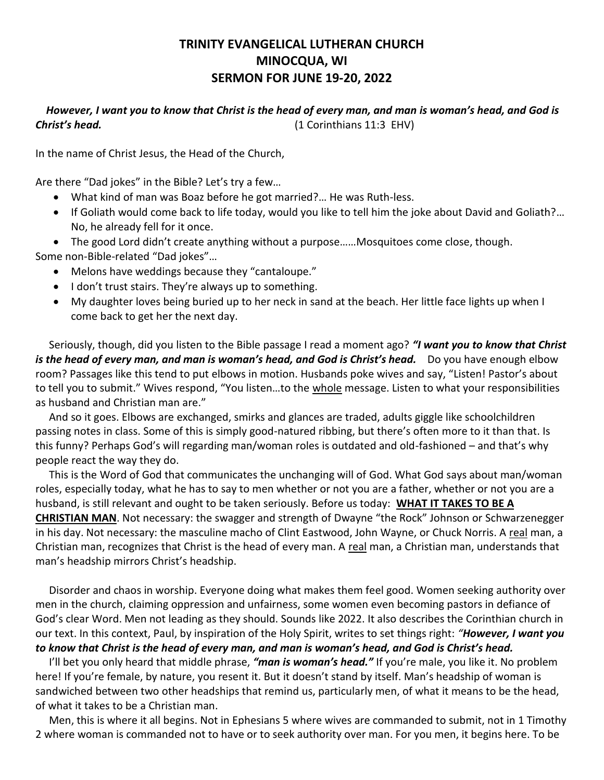## **TRINITY EVANGELICAL LUTHERAN CHURCH MINOCQUA, WI SERMON FOR JUNE 19-20, 2022**

## *However, I want you to know that Christ is the head of every man, and man is woman's head, and God is Christ's head.* (1 Corinthians 11:3 EHV)

In the name of Christ Jesus, the Head of the Church,

Are there "Dad jokes" in the Bible? Let's try a few…

- What kind of man was Boaz before he got married?… He was Ruth-less.
- If Goliath would come back to life today, would you like to tell him the joke about David and Goliath?… No, he already fell for it once.

 The good Lord didn't create anything without a purpose……Mosquitoes come close, though. Some non-Bible-related "Dad jokes"…

- Melons have weddings because they "cantaloupe."
- I don't trust stairs. They're always up to something.
- My daughter loves being buried up to her neck in sand at the beach. Her little face lights up when I come back to get her the next day.

 Seriously, though, did you listen to the Bible passage I read a moment ago? *"I want you to know that Christ is the head of every man, and man is woman's head, and God is Christ's head.* Do you have enough elbow room? Passages like this tend to put elbows in motion. Husbands poke wives and say, "Listen! Pastor's about to tell you to submit." Wives respond, "You listen...to the whole message. Listen to what your responsibilities as husband and Christian man are."

 And so it goes. Elbows are exchanged, smirks and glances are traded, adults giggle like schoolchildren passing notes in class. Some of this is simply good-natured ribbing, but there's often more to it than that. Is this funny? Perhaps God's will regarding man/woman roles is outdated and old-fashioned – and that's why people react the way they do.

 This is the Word of God that communicates the unchanging will of God. What God says about man/woman roles, especially today, what he has to say to men whether or not you are a father, whether or not you are a husband, is still relevant and ought to be taken seriously. Before us today: **WHAT IT TAKES TO BE A CHRISTIAN MAN**. Not necessary: the swagger and strength of Dwayne "the Rock" Johnson or Schwarzenegger in his day. Not necessary: the masculine macho of Clint Eastwood, John Wayne, or Chuck Norris. A real man, a Christian man, recognizes that Christ is the head of every man. A real man, a Christian man, understands that man's headship mirrors Christ's headship.

 Disorder and chaos in worship. Everyone doing what makes them feel good. Women seeking authority over men in the church, claiming oppression and unfairness, some women even becoming pastors in defiance of God's clear Word. Men not leading as they should. Sounds like 2022. It also describes the Corinthian church in our text. In this context, Paul, by inspiration of the Holy Spirit, writes to set things right: *"However, I want you to know that Christ is the head of every man, and man is woman's head, and God is Christ's head.*

 I'll bet you only heard that middle phrase, *"man is woman's head."* If you're male, you like it. No problem here! If you're female, by nature, you resent it. But it doesn't stand by itself. Man's headship of woman is sandwiched between two other headships that remind us, particularly men, of what it means to be the head, of what it takes to be a Christian man.

 Men, this is where it all begins. Not in Ephesians 5 where wives are commanded to submit, not in 1 Timothy 2 where woman is commanded not to have or to seek authority over man. For you men, it begins here. To be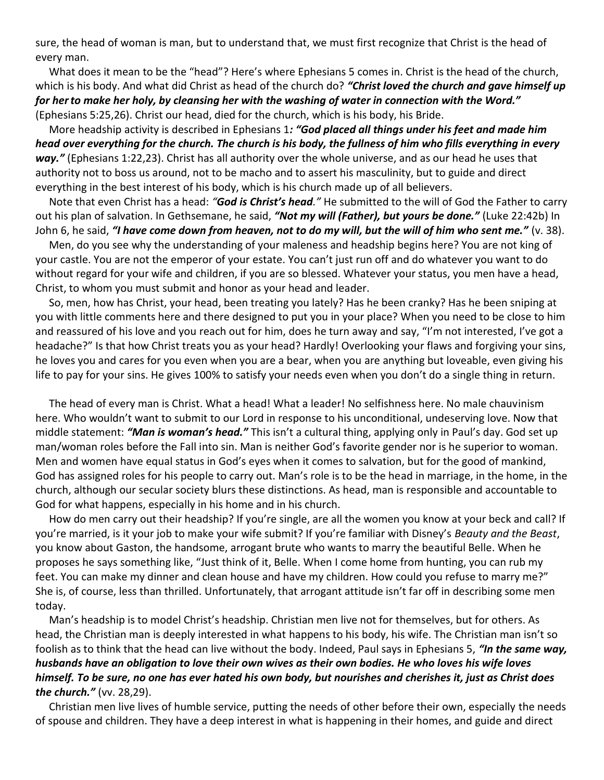sure, the head of woman is man, but to understand that, we must first recognize that Christ is the head of every man.

 What does it mean to be the "head"? Here's where Ephesians 5 comes in. Christ is the head of the church, which is his body. And what did Christ as head of the church do? *"Christ loved the church and gave himself up for herto make her holy, by cleansing her with the washing of water in connection with the Word."* (Ephesians 5:25,26). Christ our head, died for the church, which is his body, his Bride.

 More headship activity is described in Ephesians 1*: "God placed all things under his feet and made him head over everything for the church. The church is his body, the fullness of him who fills everything in every way."* (Ephesians 1:22,23). Christ has all authority over the whole universe, and as our head he uses that authority not to boss us around, not to be macho and to assert his masculinity, but to guide and direct everything in the best interest of his body, which is his church made up of all believers.

 Note that even Christ has a head: *"God is Christ's head."* He submitted to the will of God the Father to carry out his plan of salvation. In Gethsemane, he said, *"Not my will (Father), but yours be done."* (Luke 22:42b) In John 6, he said, *"I have come down from heaven, not to do my will, but the will of him who sent me."* (v. 38).

 Men, do you see why the understanding of your maleness and headship begins here? You are not king of your castle. You are not the emperor of your estate. You can't just run off and do whatever you want to do without regard for your wife and children, if you are so blessed. Whatever your status, you men have a head, Christ, to whom you must submit and honor as your head and leader.

 So, men, how has Christ, your head, been treating you lately? Has he been cranky? Has he been sniping at you with little comments here and there designed to put you in your place? When you need to be close to him and reassured of his love and you reach out for him, does he turn away and say, "I'm not interested, I've got a headache?" Is that how Christ treats you as your head? Hardly! Overlooking your flaws and forgiving your sins, he loves you and cares for you even when you are a bear, when you are anything but loveable, even giving his life to pay for your sins. He gives 100% to satisfy your needs even when you don't do a single thing in return.

 The head of every man is Christ. What a head! What a leader! No selfishness here. No male chauvinism here. Who wouldn't want to submit to our Lord in response to his unconditional, undeserving love. Now that middle statement: *"Man is woman's head."* This isn't a cultural thing, applying only in Paul's day. God set up man/woman roles before the Fall into sin. Man is neither God's favorite gender nor is he superior to woman. Men and women have equal status in God's eyes when it comes to salvation, but for the good of mankind, God has assigned roles for his people to carry out. Man's role is to be the head in marriage, in the home, in the church, although our secular society blurs these distinctions. As head, man is responsible and accountable to God for what happens, especially in his home and in his church.

 How do men carry out their headship? If you're single, are all the women you know at your beck and call? If you're married, is it your job to make your wife submit? If you're familiar with Disney's *Beauty and the Beast*, you know about Gaston, the handsome, arrogant brute who wants to marry the beautiful Belle. When he proposes he says something like, "Just think of it, Belle. When I come home from hunting, you can rub my feet. You can make my dinner and clean house and have my children. How could you refuse to marry me?" She is, of course, less than thrilled. Unfortunately, that arrogant attitude isn't far off in describing some men today.

 Man's headship is to model Christ's headship. Christian men live not for themselves, but for others. As head, the Christian man is deeply interested in what happens to his body, his wife. The Christian man isn't so foolish as to think that the head can live without the body. Indeed, Paul says in Ephesians 5, *"In the same way, husbands have an obligation to love their own wives as their own bodies. He who loves his wife loves himself. To be sure, no one has ever hated his own body, but nourishes and cherishes it, just as Christ does the church."* (vv. 28,29).

 Christian men live lives of humble service, putting the needs of other before their own, especially the needs of spouse and children. They have a deep interest in what is happening in their homes, and guide and direct